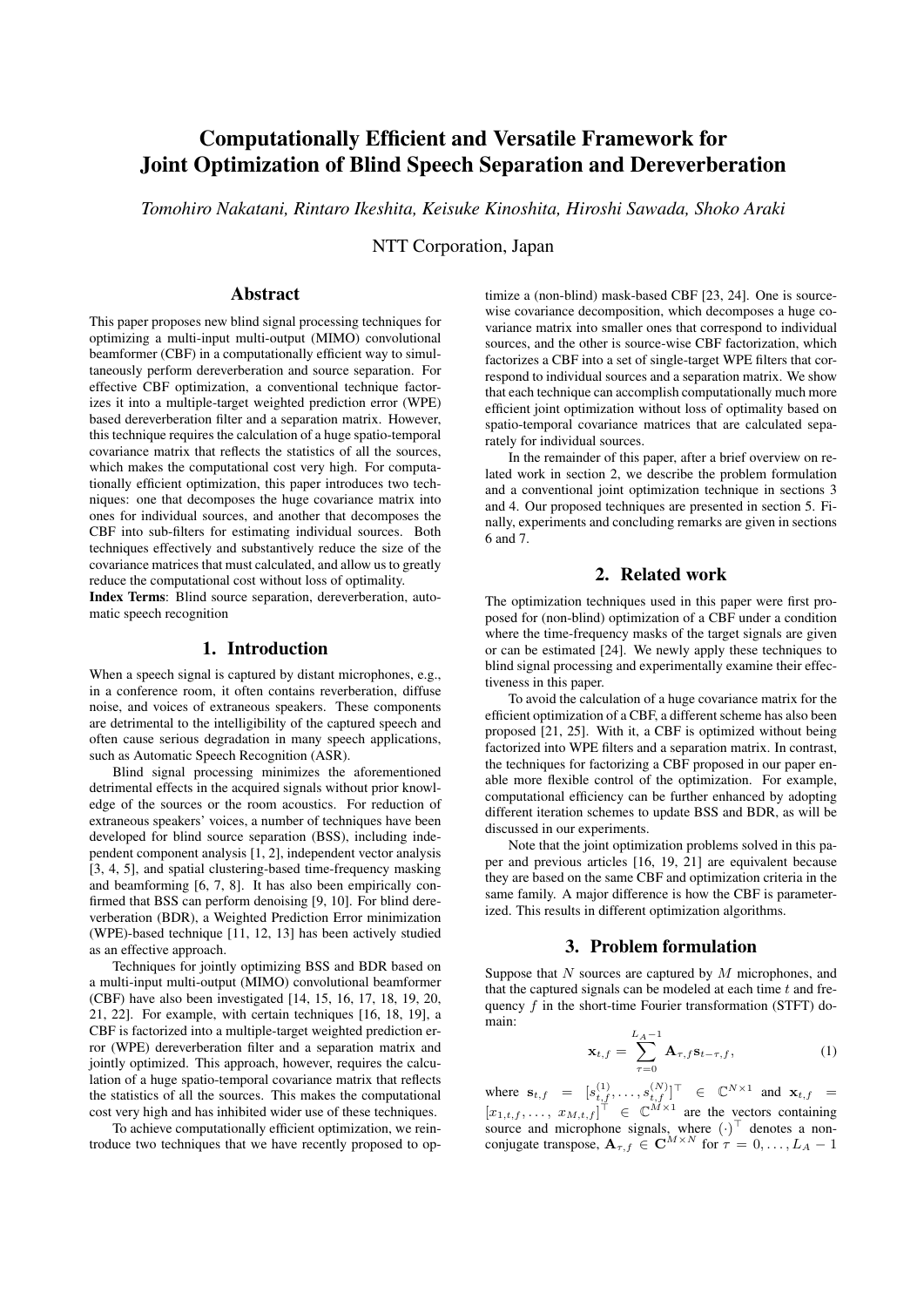# Computationally Efficient and Versatile Framework for Joint Optimization of Blind Speech Separation and Dereverberation

*Tomohiro Nakatani, Rintaro Ikeshita, Keisuke Kinoshita, Hiroshi Sawada, Shoko Araki*

NTT Corporation, Japan

# Abstract

This paper proposes new blind signal processing techniques for optimizing a multi-input multi-output (MIMO) convolutional beamformer (CBF) in a computationally efficient way to simultaneously perform dereverberation and source separation. For effective CBF optimization, a conventional technique factorizes it into a multiple-target weighted prediction error (WPE) based dereverberation filter and a separation matrix. However, this technique requires the calculation of a huge spatio-temporal covariance matrix that reflects the statistics of all the sources, which makes the computational cost very high. For computationally efficient optimization, this paper introduces two techniques: one that decomposes the huge covariance matrix into ones for individual sources, and another that decomposes the CBF into sub-filters for estimating individual sources. Both techniques effectively and substantively reduce the size of the covariance matrices that must calculated, and allow us to greatly reduce the computational cost without loss of optimality.

Index Terms: Blind source separation, dereverberation, automatic speech recognition

## 1. Introduction

When a speech signal is captured by distant microphones, e.g., in a conference room, it often contains reverberation, diffuse noise, and voices of extraneous speakers. These components are detrimental to the intelligibility of the captured speech and often cause serious degradation in many speech applications, such as Automatic Speech Recognition (ASR).

Blind signal processing minimizes the aforementioned detrimental effects in the acquired signals without prior knowledge of the sources or the room acoustics. For reduction of extraneous speakers' voices, a number of techniques have been developed for blind source separation (BSS), including independent component analysis [1, 2], independent vector analysis [3, 4, 5], and spatial clustering-based time-frequency masking and beamforming [6, 7, 8]. It has also been empirically confirmed that BSS can perform denoising [9, 10]. For blind dereverberation (BDR), a Weighted Prediction Error minimization (WPE)-based technique [11, 12, 13] has been actively studied as an effective approach.

Techniques for jointly optimizing BSS and BDR based on a multi-input multi-output (MIMO) convolutional beamformer (CBF) have also been investigated [14, 15, 16, 17, 18, 19, 20, 21, 22]. For example, with certain techniques [16, 18, 19], a CBF is factorized into a multiple-target weighted prediction error (WPE) dereverberation filter and a separation matrix and jointly optimized. This approach, however, requires the calculation of a huge spatio-temporal covariance matrix that reflects the statistics of all the sources. This makes the computational cost very high and has inhibited wider use of these techniques.

To achieve computationally efficient optimization, we reintroduce two techniques that we have recently proposed to op-

timize a (non-blind) mask-based CBF [23, 24]. One is sourcewise covariance decomposition, which decomposes a huge covariance matrix into smaller ones that correspond to individual sources, and the other is source-wise CBF factorization, which factorizes a CBF into a set of single-target WPE filters that correspond to individual sources and a separation matrix. We show that each technique can accomplish computationally much more efficient joint optimization without loss of optimality based on spatio-temporal covariance matrices that are calculated separately for individual sources.

In the remainder of this paper, after a brief overview on related work in section 2, we describe the problem formulation and a conventional joint optimization technique in sections 3 and 4. Our proposed techniques are presented in section 5. Finally, experiments and concluding remarks are given in sections 6 and 7.

# 2. Related work

The optimization techniques used in this paper were first proposed for (non-blind) optimization of a CBF under a condition where the time-frequency masks of the target signals are given or can be estimated [24]. We newly apply these techniques to blind signal processing and experimentally examine their effectiveness in this paper.

To avoid the calculation of a huge covariance matrix for the efficient optimization of a CBF, a different scheme has also been proposed [21, 25]. With it, a CBF is optimized without being factorized into WPE filters and a separation matrix. In contrast, the techniques for factorizing a CBF proposed in our paper enable more flexible control of the optimization. For example, computational efficiency can be further enhanced by adopting different iteration schemes to update BSS and BDR, as will be discussed in our experiments.

Note that the joint optimization problems solved in this paper and previous articles [16, 19, 21] are equivalent because they are based on the same CBF and optimization criteria in the same family. A major difference is how the CBF is parameterized. This results in different optimization algorithms.

### 3. Problem formulation

Suppose that  $N$  sources are captured by  $M$  microphones, and that the captured signals can be modeled at each time  $t$  and frequency  $f$  in the short-time Fourier transformation (STFT) domain:

$$
\mathbf{x}_{t,f} = \sum_{\tau=0}^{L_A - 1} \mathbf{A}_{\tau,f} \mathbf{s}_{t-\tau,f}, \tag{1}
$$

where  $\mathbf{s}_{t,f} = [s_{t,f}^{(1)}, \dots, s_{t,f}^{(N)}]^\top \in \mathbb{C}^{N \times 1}$  and  $\mathbf{x}_{t,f} =$  $[x_{1,t,f},\ldots,x_{M,t,f}]^{\dagger} \in \mathbb{C}^{M\times 1}$  are the vectors containing source and microphone signals, where  $(\cdot)^{\top}$  denotes a nonconjugate transpose,  $\mathbf{A}_{\tau,f} \in \mathbf{C}^{M \times N}$  for  $\tau = 0, \ldots, L_A - 1$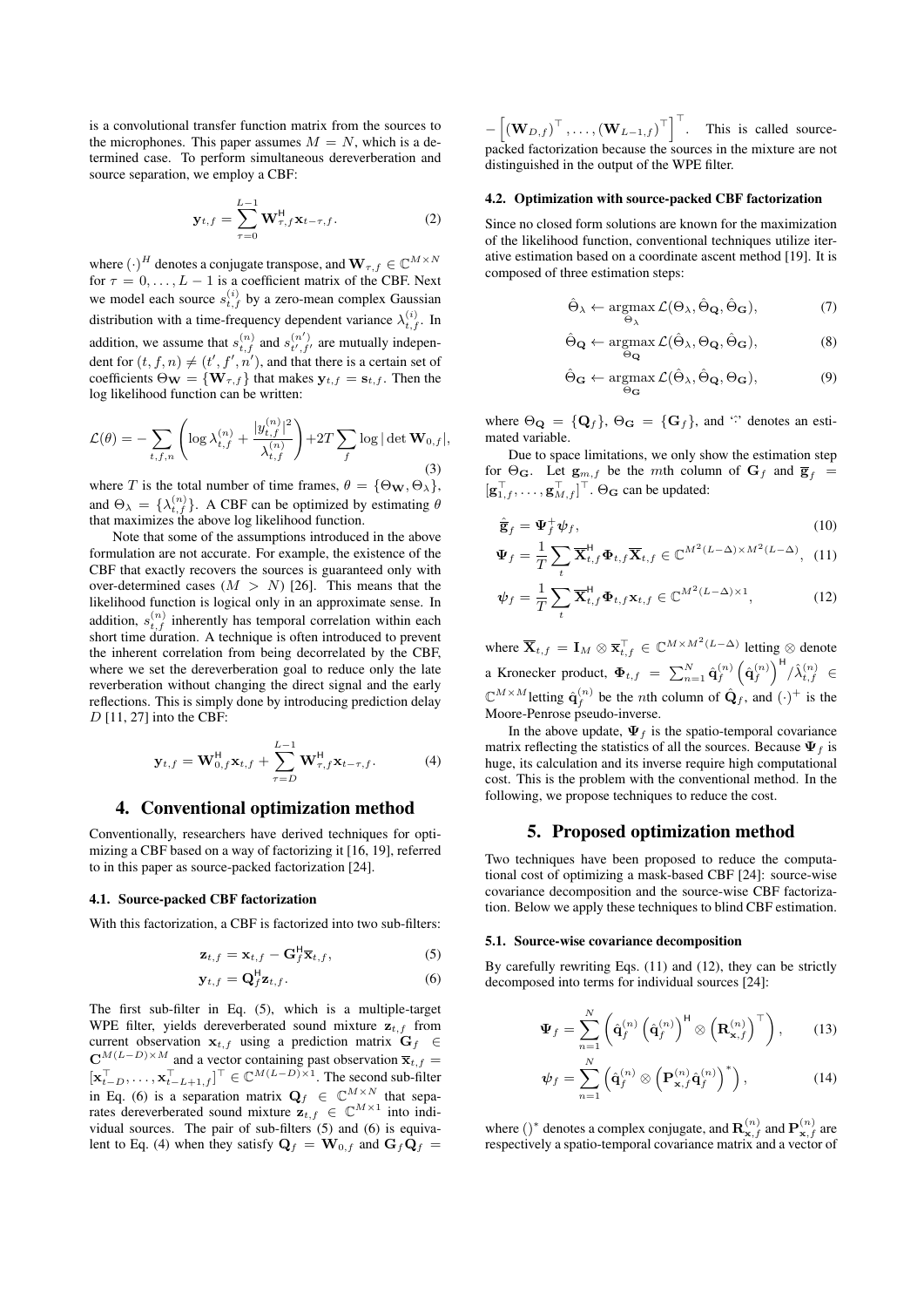is a convolutional transfer function matrix from the sources to the microphones. This paper assumes  $M = N$ , which is a determined case. To perform simultaneous dereverberation and source separation, we employ a CBF:

$$
\mathbf{y}_{t,f} = \sum_{\tau=0}^{L-1} \mathbf{W}_{\tau,f}^{\mathsf{H}} \mathbf{x}_{t-\tau,f}.
$$
 (2)

where  $(\cdot)^H$  denotes a conjugate transpose, and  $\mathbf{W}_{\tau,f} \in \mathbb{C}^{M \times N}$ for  $\tau = 0, \ldots, L - 1$  is a coefficient matrix of the CBF. Next we model each source  $s_{t,f}^{(i)}$  by a zero-mean complex Gaussian distribution with a time-frequency dependent variance  $\lambda_{t,f}^{(i)}$ . In addition, we assume that  $s_{t,f}^{(n)}$  and  $s_{t',f'}^{(n')}$  are mutually independent for  $(t, f, n) \neq (t', f', n')$ , and that there is a certain set of coefficients  $\Theta_{\mathbf{W}} = {\mathbf{W}_{\tau,f}}$  that makes  $\mathbf{y}_{t,f} = \mathbf{s}_{t,f}$ . Then the log likelihood function can be written:

$$
\mathcal{L}(\theta) = -\sum_{t,f,n} \left( \log \lambda_{t,f}^{(n)} + \frac{|y_{t,f}^{(n)}|^2}{\lambda_{t,f}^{(n)}} \right) + 2T \sum_f \log |\det \mathbf{W}_{0,f}|,
$$
\n(3)

where T is the total number of time frames,  $\theta = {\Theta_{\mathbf{W}}, \Theta_{\lambda}}$ , and  $\Theta_{\lambda} = {\lambda_{t,f}^{(n)}}$ . A CBF can be optimized by estimating  $\theta$ that maximizes the above log likelihood function.

Note that some of the assumptions introduced in the above formulation are not accurate. For example, the existence of the CBF that exactly recovers the sources is guaranteed only with over-determined cases  $(M > N)$  [26]. This means that the likelihood function is logical only in an approximate sense. In addition,  $s_{t,f}^{(n)}$  inherently has temporal correlation within each short time duration. A technique is often introduced to prevent the inherent correlation from being decorrelated by the CBF, where we set the dereverberation goal to reduce only the late reverberation without changing the direct signal and the early reflections. This is simply done by introducing prediction delay  $D$  [11, 27] into the CBF:

$$
\mathbf{y}_{t,f} = \mathbf{W}_{0,f}^{\mathsf{H}} \mathbf{x}_{t,f} + \sum_{\tau=D}^{L-1} \mathbf{W}_{\tau,f}^{\mathsf{H}} \mathbf{x}_{t-\tau,f}.
$$
 (4)

## 4. Conventional optimization method

Conventionally, researchers have derived techniques for optimizing a CBF based on a way of factorizing it [16, 19], referred to in this paper as source-packed factorization [24].

### 4.1. Source-packed CBF factorization

With this factorization, a CBF is factorized into two sub-filters:

$$
\mathbf{z}_{t,f} = \mathbf{x}_{t,f} - \mathbf{G}_f^{\mathsf{H}} \overline{\mathbf{x}}_{t,f}, \tag{5}
$$

$$
\mathbf{y}_{t,f} = \mathbf{Q}_f^{\mathsf{H}} \mathbf{z}_{t,f}.
$$
 (6)

The first sub-filter in Eq. (5), which is a multiple-target WPE filter, yields dereverberated sound mixture  $z_{t,f}$  from current observation  $\mathbf{x}_{t,f}$  using a prediction matrix  $\mathbf{G}_f \in$  $\mathbf{C}^{M(L-D)\times M}$  and a vector containing past observation  $\overline{\mathbf{x}}_{t,f}$  $[\mathbf{x}_{t-D}^{\top}, \dots, \mathbf{x}_{t-L+1,f}^{\top}]^{\top} \in \mathbb{C}^{M(L-D)\times 1}$ . The second sub-filter in Eq. (6) is a separation matrix  $\mathbf{Q}_f \in \mathbb{C}^{M \times N}$  that separates dereverberated sound mixture  $\mathbf{z}_{t,f} \in \mathbb{C}^{M \times 1}$  into individual sources. The pair of sub-filters (5) and (6) is equivalent to Eq. (4) when they satisfy  $\mathbf{Q}_f = \mathbf{W}_{0,f}$  and  $\mathbf{G}_f \mathbf{Q}_f =$ 

 $-\left[ (\mathbf{W}_{D,f})^{\top}, \ldots, (\mathbf{W}_{L-1,f})^{\top} \right]^{\top}$ . This is called sourcepacked factorization because the sources in the mixture are not distinguished in the output of the WPE filter.

#### 4.2. Optimization with source-packed CBF factorization

Since no closed form solutions are known for the maximization of the likelihood function, conventional techniques utilize iterative estimation based on a coordinate ascent method [19]. It is composed of three estimation steps:

$$
\hat{\Theta}_{\lambda} \leftarrow \underset{\Theta_{\lambda}}{\operatorname{argmax}} \mathcal{L}(\Theta_{\lambda}, \hat{\Theta}_{\mathbf{Q}}, \hat{\Theta}_{\mathbf{G}}), \tag{7}
$$

$$
\hat{\Theta}_{\mathbf{Q}} \leftarrow \underset{\Theta_{\mathbf{Q}}}{\operatorname{argmax}} \mathcal{L}(\hat{\Theta}_{\lambda}, \Theta_{\mathbf{Q}}, \hat{\Theta}_{\mathbf{G}}), \tag{8}
$$

$$
\hat{\Theta}_{\mathbf{G}} \leftarrow \mathop{\mathrm{argmax}}_{\Theta_{\mathbf{G}}} \mathcal{L}(\hat{\Theta}_{\lambda}, \hat{\Theta}_{\mathbf{Q}}, \Theta_{\mathbf{G}}), \tag{9}
$$

where  $\Theta_{\mathbf{Q}} = {\mathbf{Q}_f}$ ,  $\Theta_{\mathbf{G}} = {\mathbf{G}_f}$ , and '<sup>o</sup>' denotes an estimated variable.

Due to space limitations, we only show the estimation step for  $\Theta_{\mathbf{G}}$ . Let  $\mathbf{g}_{m,f}$  be the mth column of  $\mathbf{G}_f$  and  $\overline{\mathbf{g}}_f$  =  $[g_{1,f}^{\top}, \ldots, g_{M,f}^{\top}]^{\top}$ .  $\Theta_{\mathbf{G}}$  can be updated:

$$
\hat{\overline{\mathbf{g}}}_f = \mathbf{\Psi}_f^+ \boldsymbol{\psi}_f,\tag{10}
$$

$$
\Psi_f = \frac{1}{T} \sum_t \overline{\mathbf{X}}_{t,f}^{\mathsf{H}} \Phi_{t,f} \overline{\mathbf{X}}_{t,f} \in \mathbb{C}^{M^2(L-\Delta)\times M^2(L-\Delta)}, \tag{11}
$$

$$
\psi_f = \frac{1}{T} \sum_t \overline{\mathbf{X}}_{t,f}^{\mathsf{H}} \Phi_{t,f} \mathbf{x}_{t,f} \in \mathbb{C}^{M^2 (L - \Delta) \times 1},\tag{12}
$$

where  $\overline{\mathbf{X}}_{t,f} = \mathbf{I}_M \otimes \overline{\mathbf{x}}_{t,f}^{\top} \in \mathbb{C}^{M \times M^2(L-\Delta)}$  letting  $\otimes$  denote a Kronecker product,  $\Phi_{t,f}$  =  $\sum_{n=1}^N \hat{\mathbf{q}}_f^{(n)} \left( \hat{\mathbf{q}}_f^{(n)} \right)^{\mathsf{H}} / \hat{\lambda}_{t,f}^{(n)}$   $\in$  $\mathbb{C}^{M \times M}$ letting  $\hat{\mathbf{q}}_f^{(n)}$  be the *n*th column of  $\hat{\mathbf{Q}}_f$ , and  $(\cdot)^+$  is the Moore-Penrose pseudo-inverse.

In the above update,  $\Psi_f$  is the spatio-temporal covariance matrix reflecting the statistics of all the sources. Because  $\Psi_f$  is huge, its calculation and its inverse require high computational cost. This is the problem with the conventional method. In the following, we propose techniques to reduce the cost.

### 5. Proposed optimization method

Two techniques have been proposed to reduce the computational cost of optimizing a mask-based CBF [24]: source-wise covariance decomposition and the source-wise CBF factorization. Below we apply these techniques to blind CBF estimation.

#### 5.1. Source-wise covariance decomposition

By carefully rewriting Eqs. (11) and (12), they can be strictly decomposed into terms for individual sources [24]:

$$
\Psi_f = \sum_{n=1}^N \left( \hat{\mathbf{q}}_f^{(n)} \left( \hat{\mathbf{q}}_f^{(n)} \right)^{\mathsf{H}} \otimes \left( \mathbf{R}_{\mathbf{x},f}^{(n)} \right)^{\top} \right), \qquad (13)
$$

$$
\psi_f = \sum_{n=1}^N \left( \hat{\mathbf{q}}_f^{(n)} \otimes \left( \mathbf{P}_{\mathbf{x},f}^{(n)} \hat{\mathbf{q}}_f^{(n)} \right)^* \right), \tag{14}
$$

where ()<sup>\*</sup> denotes a complex conjugate, and  $\mathbf{R}^{(n)}_{\mathbf{x},f}$  and  $\mathbf{P}^{(n)}_{\mathbf{x},f}$  are respectively a spatio-temporal covariance matrix and a vector of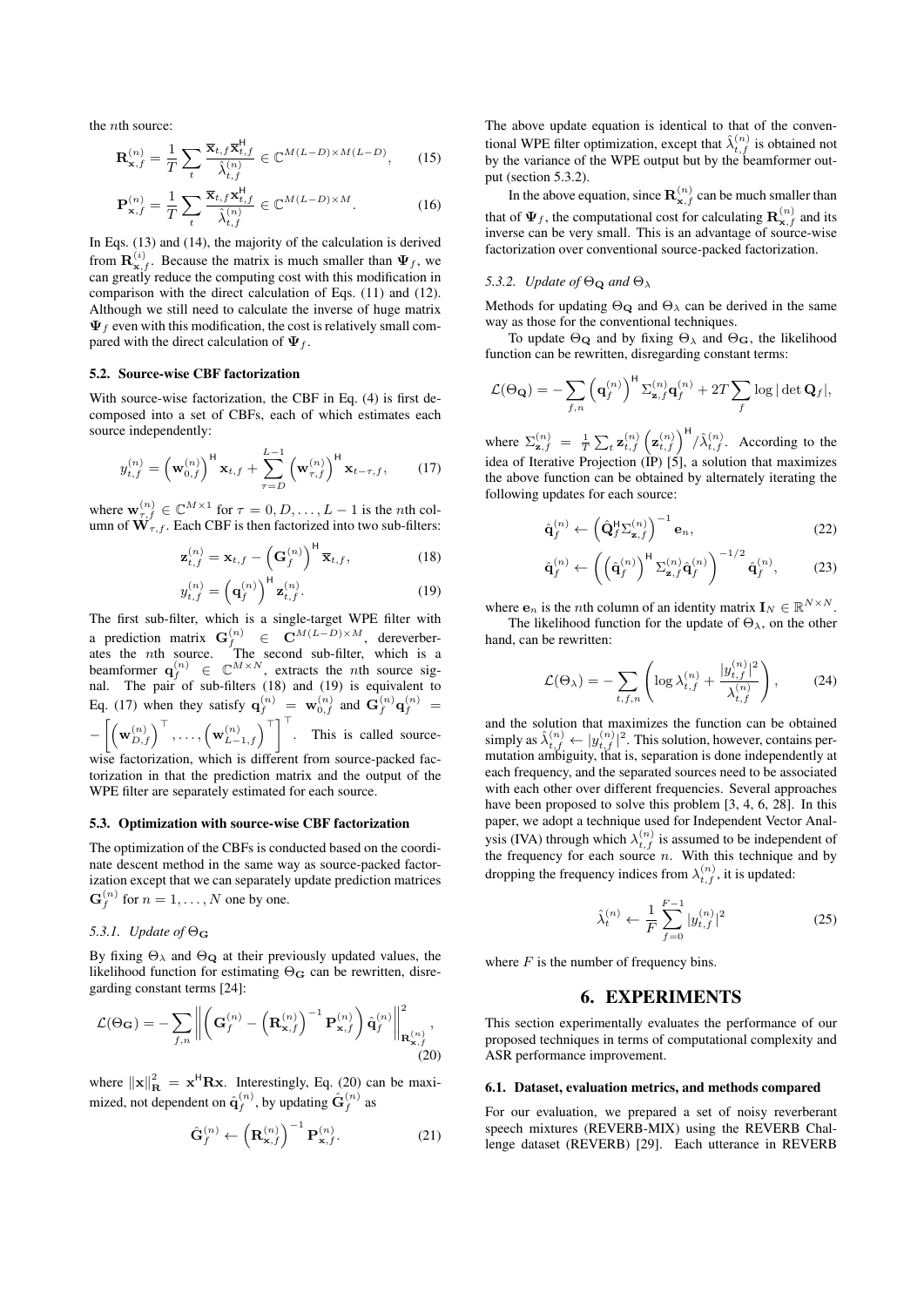the nth source:

$$
\mathbf{R}_{\mathbf{x},f}^{(n)} = \frac{1}{T} \sum_{t} \frac{\overline{\mathbf{x}}_{t,f} \overline{\mathbf{x}}_{t,f}^{\mathsf{H}}}{\hat{\lambda}_{t,f}^{(n)}} \in \mathbb{C}^{M(L-D)\times M(L-D)},\qquad(15)
$$

$$
\mathbf{P}_{\mathbf{x},f}^{(n)} = \frac{1}{T} \sum_{t} \frac{\overline{\mathbf{x}}_{t,f} \mathbf{x}_{t,f}^{\mathsf{H}}}{\hat{\lambda}_{t,f}^{(n)}} \in \mathbb{C}^{M(L-D) \times M}.
$$
 (16)

In Eqs. (13) and (14), the majority of the calculation is derived from  $\mathbf{R}^{(i)}_{\mathbf{x},f}$ . Because the matrix is much smaller than  $\Psi_f$ , we can greatly reduce the computing cost with this modification in comparison with the direct calculation of Eqs. (11) and (12). Although we still need to calculate the inverse of huge matrix  $\Psi_f$  even with this modification, the cost is relatively small compared with the direct calculation of  $\Psi_f$ .

#### 5.2. Source-wise CBF factorization

With source-wise factorization, the CBF in Eq. (4) is first decomposed into a set of CBFs, each of which estimates each source independently:

$$
y_{t,f}^{(n)} = \left(\mathbf{w}_{0,f}^{(n)}\right)^{\mathsf{H}} \mathbf{x}_{t,f} + \sum_{\tau=D}^{L-1} \left(\mathbf{w}_{\tau,f}^{(n)}\right)^{\mathsf{H}} \mathbf{x}_{t-\tau,f}, \qquad (17)
$$

where  $\mathbf{w}_{\tau,f}^{(n)} \in \mathbb{C}^{M \times 1}$  for  $\tau = 0, D, \dots, L-1$  is the *n*th column of  $\mathbf{W}_{\tau,f}$ . Each CBF is then factorized into two sub-filters:

$$
\mathbf{z}_{t,f}^{(n)} = \mathbf{x}_{t,f} - \left(\mathbf{G}_f^{(n)}\right)^{\mathsf{H}} \overline{\mathbf{x}}_{t,f},\tag{18}
$$

$$
y_{t,f}^{(n)} = \left(\mathbf{q}_f^{(n)}\right)^{\mathsf{H}} \mathbf{z}_{t,f}^{(n)}.
$$
 (19)

The first sub-filter, which is a single-target WPE filter with a prediction matrix  $G_f^{(n)} \in \mathbf{C}^{M(L-D)\times M}$ , dereverberates the nth source. The second sub-filter, which is a beamformer  $\mathbf{q}_f^{(n)} \in \mathbb{C}^{M \times N}$ , extracts the *n*th source signal. The pair of sub-filters (18) and (19) is equivalent to Eq. (17) when they satisfy  $\mathbf{q}_{f}^{(n)} = \mathbf{w}_{0,f}^{(n)}$  and  $\mathbf{G}_{f}^{(n)}\mathbf{q}_{f}^{(n)} =$  $-\left[\left(\mathbf{w}_{D,f}^{(n)}\right)^{\top},\ldots,\left(\mathbf{w}_{L-1,f}^{(n)}\right)^{\top}\right]^{\top}$ . This is called sourcewise factorization, which is different from source-packed fac-

torization in that the prediction matrix and the output of the WPE filter are separately estimated for each source.

### 5.3. Optimization with source-wise CBF factorization

The optimization of the CBFs is conducted based on the coordinate descent method in the same way as source-packed factorization except that we can separately update prediction matrices  $\mathbf{G}_f^{(n)}$  for  $n = 1, \dots, N$  one by one.

# *5.3.1. Update of* Θ<sup>G</sup>

By fixing  $\Theta_{\lambda}$  and  $\Theta_{\mathbf{Q}}$  at their previously updated values, the likelihood function for estimating  $\Theta_{\mathbf{G}}$  can be rewritten, disregarding constant terms [24]:

$$
\mathcal{L}(\Theta_{\mathbf{G}}) = -\sum_{f,n} \left\| \left( \mathbf{G}_f^{(n)} - \left( \mathbf{R}_{\mathbf{x},f}^{(n)} \right)^{-1} \mathbf{P}_{\mathbf{x},f}^{(n)} \right) \hat{\mathbf{q}}_f^{(n)} \right\|_{\mathbf{R}_{\mathbf{x},f}^{(n)}},\tag{20}
$$

where  $\|\mathbf{x}\|_{\mathbf{R}}^2 = \mathbf{x}^{\mathsf{H}} \mathbf{R} \mathbf{x}$ . Interestingly, Eq. (20) can be maximized, not dependent on  $\hat{\mathbf{q}}_{f}^{(n)},$  by updating  $\hat{\mathbf{G}}_{f}^{(n)}$  as

$$
\hat{\mathbf{G}}_f^{(n)} \leftarrow \left(\mathbf{R}_{\mathbf{x},f}^{(n)}\right)^{-1} \mathbf{P}_{\mathbf{x},f}^{(n)}.\tag{21}
$$

The above update equation is identical to that of the conventional WPE filter optimization, except that  $\hat{\lambda}_{t,f}^{(n)}$  is obtained not by the variance of the WPE output but by the beamformer output (section 5.3.2).

In the above equation, since  $\mathbf{R}^{(n)}_{\mathbf{x},f}$  can be much smaller than that of  $\Psi_f$ , the computational cost for calculating  $\mathbf{R}_{\mathbf{x},f}^{(n)}$  and its inverse can be very small. This is an advantage of source-wise factorization over conventional source-packed factorization.

### *5.3.2. Update of*  $\Theta_{\mathbf{Q}}$  *and*  $\Theta_{\lambda}$

Methods for updating  $\Theta_{\mathbf{Q}}$  and  $\Theta_{\lambda}$  can be derived in the same way as those for the conventional techniques.

To update  $\Theta_{\mathbf{Q}}$  and by fixing  $\Theta_{\lambda}$  and  $\Theta_{\mathbf{G}}$ , the likelihood function can be rewritten, disregarding constant terms:

$$
\mathcal{L}(\Theta_{\mathbf{Q}}) = -\sum_{f,n} \left(\mathbf{q}_{f}^{(n)}\right)^{\mathsf{H}} \Sigma_{\mathbf{z},f}^{(n)} \mathbf{q}_{f}^{(n)} + 2T \sum_{f} \log |\det \mathbf{Q}_{f}|,
$$

where  $\Sigma_{\mathbf{z},f}^{(n)} = \frac{1}{T} \sum_{t} \mathbf{z}_{t,f}^{(n)} \left( \mathbf{z}_{t,f}^{(n)} \right)^{\mathsf{H}} / \hat{\lambda}_{t,f}^{(n)}$ . According to the idea of Iterative Projection (IP) [5], a solution that maximizes the above function can be obtained by alternately iterating the following updates for each source:

$$
\hat{\mathbf{q}}_f^{(n)} \leftarrow \left(\hat{\mathbf{Q}}_f^{\mathsf{H}} \Sigma_{\mathbf{z},f}^{(n)}\right)^{-1} \mathbf{e}_n, \tag{22}
$$

$$
\hat{\mathbf{q}}_f^{(n)} \leftarrow \left( \left( \hat{\mathbf{q}}_f^{(n)} \right)^{\mathsf{H}} \Sigma_{\mathbf{z},f}^{(n)} \hat{\mathbf{q}}_f^{(n)} \right)^{-1/2} \hat{\mathbf{q}}_f^{(n)},\tag{23}
$$

where  $e_n$  is the *n*th column of an identity matrix  $I_N \in \mathbb{R}^{N \times N}$ .

The likelihood function for the update of  $\Theta_{\lambda}$ , on the other hand, can be rewritten:

$$
\mathcal{L}(\Theta_{\lambda}) = -\sum_{t,f,n} \left( \log \lambda_{t,f}^{(n)} + \frac{|y_{t,f}^{(n)}|^2}{\lambda_{t,f}^{(n)}} \right), \quad (24)
$$

and the solution that maximizes the function can be obtained simply as  $\hat{\lambda}_{t,f}^{(n)} \leftarrow |y_{t,f}^{(n)}|^2$ . This solution, however, contains permutation ambiguity, that is, separation is done independently at each frequency, and the separated sources need to be associated with each other over different frequencies. Several approaches have been proposed to solve this problem [3, 4, 6, 28]. In this paper, we adopt a technique used for Independent Vector Analysis (IVA) through which  $\lambda_{t,f}^{(n)}$  is assumed to be independent of the frequency for each source  $n$ . With this technique and by dropping the frequency indices from  $\lambda_{t,f}^{(n)}$ , it is updated:

$$
\hat{\lambda}_t^{(n)} \leftarrow \frac{1}{F} \sum_{f=0}^{F-1} |y_{t,f}^{(n)}|^2 \tag{25}
$$

where  $F$  is the number of frequency bins.

### 6. EXPERIMENTS

This section experimentally evaluates the performance of our proposed techniques in terms of computational complexity and ASR performance improvement.

#### 6.1. Dataset, evaluation metrics, and methods compared

For our evaluation, we prepared a set of noisy reverberant speech mixtures (REVERB-MIX) using the REVERB Challenge dataset (REVERB) [29]. Each utterance in REVERB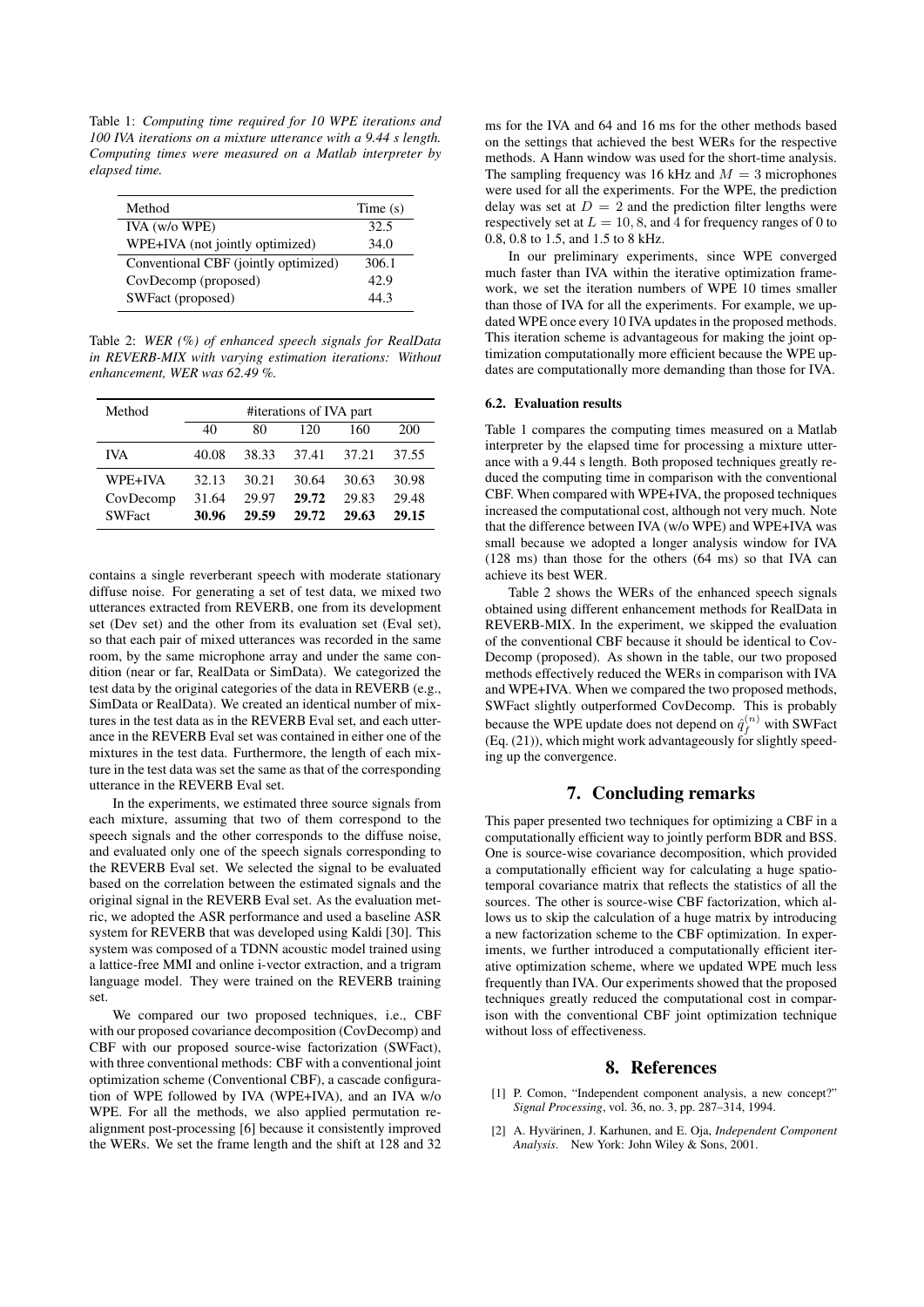Table 1: *Computing time required for 10 WPE iterations and 100 IVA iterations on a mixture utterance with a 9.44 s length. Computing times were measured on a Matlab interpreter by elapsed time.*

| Method                               | Time $(s)$ |
|--------------------------------------|------------|
| IVA (w/o WPE)                        | 32.5       |
| WPE+IVA (not jointly optimized)      | 34.0       |
| Conventional CBF (jointly optimized) | 306.1      |
| CovDecomp (proposed)                 | 42.9       |
| SWFact (proposed)                    | 44 3       |

Table 2: *WER (%) of enhanced speech signals for RealData in REVERB-MIX with varying estimation iterations: Without enhancement, WER was 62.49 %.*

| Method        | #iterations of IVA part |       |       |       |       |
|---------------|-------------------------|-------|-------|-------|-------|
|               | 40                      | 80    | 120   | 160   | 200   |
| <b>IVA</b>    | 40.08                   | 38.33 | 37.41 | 37.21 | 37.55 |
| WPE+IVA       | 32.13                   | 30.21 | 30.64 | 30.63 | 30.98 |
| CovDecomp     | 31.64                   | 29.97 | 29.72 | 29.83 | 29.48 |
| <b>SWFact</b> | 30.96                   | 29.59 | 29.72 | 29.63 | 29.15 |

contains a single reverberant speech with moderate stationary diffuse noise. For generating a set of test data, we mixed two utterances extracted from REVERB, one from its development set (Dev set) and the other from its evaluation set (Eval set), so that each pair of mixed utterances was recorded in the same room, by the same microphone array and under the same condition (near or far, RealData or SimData). We categorized the test data by the original categories of the data in REVERB (e.g., SimData or RealData). We created an identical number of mixtures in the test data as in the REVERB Eval set, and each utterance in the REVERB Eval set was contained in either one of the mixtures in the test data. Furthermore, the length of each mixture in the test data was set the same as that of the corresponding utterance in the REVERB Eval set.

In the experiments, we estimated three source signals from each mixture, assuming that two of them correspond to the speech signals and the other corresponds to the diffuse noise, and evaluated only one of the speech signals corresponding to the REVERB Eval set. We selected the signal to be evaluated based on the correlation between the estimated signals and the original signal in the REVERB Eval set. As the evaluation metric, we adopted the ASR performance and used a baseline ASR system for REVERB that was developed using Kaldi [30]. This system was composed of a TDNN acoustic model trained using a lattice-free MMI and online i-vector extraction, and a trigram language model. They were trained on the REVERB training set.

We compared our two proposed techniques, i.e., CBF with our proposed covariance decomposition (CovDecomp) and CBF with our proposed source-wise factorization (SWFact), with three conventional methods: CBF with a conventional joint optimization scheme (Conventional CBF), a cascade configuration of WPE followed by IVA (WPE+IVA), and an IVA w/o WPE. For all the methods, we also applied permutation realignment post-processing [6] because it consistently improved the WERs. We set the frame length and the shift at 128 and 32

ms for the IVA and 64 and 16 ms for the other methods based on the settings that achieved the best WERs for the respective methods. A Hann window was used for the short-time analysis. The sampling frequency was 16 kHz and  $M = 3$  microphones were used for all the experiments. For the WPE, the prediction delay was set at  $D = 2$  and the prediction filter lengths were respectively set at  $L = 10, 8$ , and 4 for frequency ranges of 0 to 0.8, 0.8 to 1.5, and 1.5 to 8 kHz.

In our preliminary experiments, since WPE converged much faster than IVA within the iterative optimization framework, we set the iteration numbers of WPE 10 times smaller than those of IVA for all the experiments. For example, we updated WPE once every 10 IVA updates in the proposed methods. This iteration scheme is advantageous for making the joint optimization computationally more efficient because the WPE updates are computationally more demanding than those for IVA.

#### 6.2. Evaluation results

Table 1 compares the computing times measured on a Matlab interpreter by the elapsed time for processing a mixture utterance with a 9.44 s length. Both proposed techniques greatly reduced the computing time in comparison with the conventional CBF. When compared with WPE+IVA, the proposed techniques increased the computational cost, although not very much. Note that the difference between IVA (w/o WPE) and WPE+IVA was small because we adopted a longer analysis window for IVA (128 ms) than those for the others (64 ms) so that IVA can achieve its best WER.

Table 2 shows the WERs of the enhanced speech signals obtained using different enhancement methods for RealData in REVERB-MIX. In the experiment, we skipped the evaluation of the conventional CBF because it should be identical to Cov-Decomp (proposed). As shown in the table, our two proposed methods effectively reduced the WERs in comparison with IVA and WPE+IVA. When we compared the two proposed methods, SWFact slightly outperformed CovDecomp. This is probably because the WPE update does not depend on  $\hat{q}_f^{(n)}$  with SWFact (Eq.  $(21)$ ), which might work advantageously for slightly speeding up the convergence.

# 7. Concluding remarks

This paper presented two techniques for optimizing a CBF in a computationally efficient way to jointly perform BDR and BSS. One is source-wise covariance decomposition, which provided a computationally efficient way for calculating a huge spatiotemporal covariance matrix that reflects the statistics of all the sources. The other is source-wise CBF factorization, which allows us to skip the calculation of a huge matrix by introducing a new factorization scheme to the CBF optimization. In experiments, we further introduced a computationally efficient iterative optimization scheme, where we updated WPE much less frequently than IVA. Our experiments showed that the proposed techniques greatly reduced the computational cost in comparison with the conventional CBF joint optimization technique without loss of effectiveness.

### 8. References

- [1] P. Comon, "Independent component analysis, a new concept?" *Signal Processing*, vol. 36, no. 3, pp. 287–314, 1994.
- [2] A. Hyvärinen, J. Karhunen, and E. Oja, *Independent Component Analysis*. New York: John Wiley & Sons, 2001.